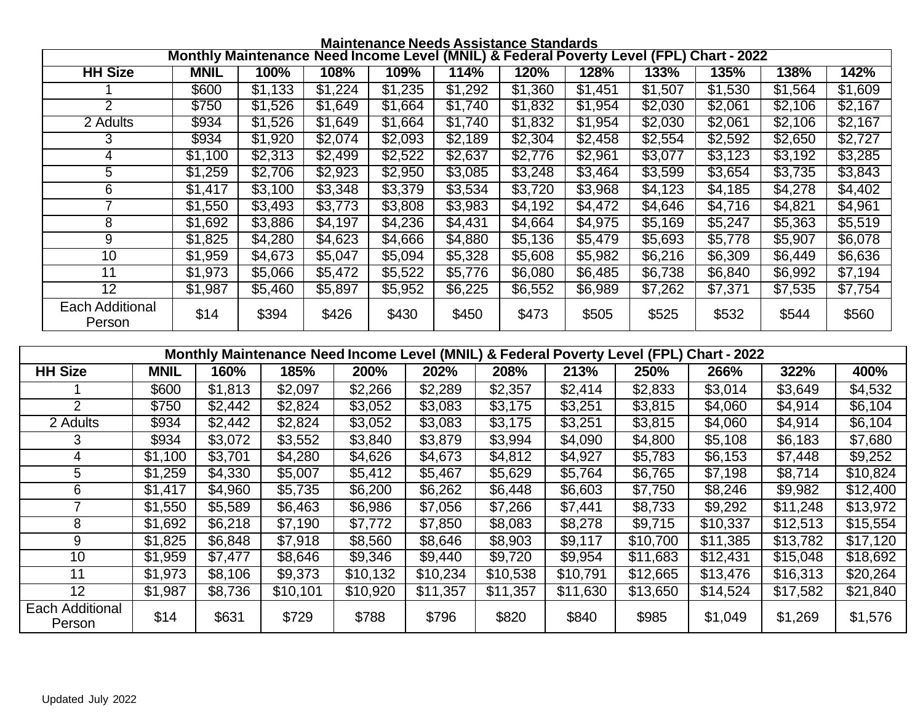|                                  | <b>Maintenance Needs Assistance Standards</b>                                           |         |         |         |         |         |         |                 |         |         |         |
|----------------------------------|-----------------------------------------------------------------------------------------|---------|---------|---------|---------|---------|---------|-----------------|---------|---------|---------|
|                                  | Monthly Maintenance Need Income Level (MNIL) & Federal Poverty Level (FPL) Chart - 2022 |         |         |         |         |         |         |                 |         |         |         |
| <b>HH Size</b>                   | <b>MNIL</b>                                                                             | 100%    | 108%    | 109%    | 114%    | 120%    | 128%    | 133%            | 135%    | 138%    | 142%    |
|                                  | \$600                                                                                   | \$1,133 | \$1,224 | \$1,235 | \$1,292 | \$1,360 | \$1,451 | \$1,507         | \$1,530 | \$1,564 | \$1,609 |
| $\overline{2}$                   | \$750                                                                                   | \$1,526 | \$1,649 | \$1,664 | \$1,740 | \$1,832 | \$1,954 | \$2,030         | \$2,061 | \$2,106 | \$2,167 |
| 2 Adults                         | \$934                                                                                   | \$1,526 | \$1,649 | \$1,664 | \$1,740 | \$1,832 | \$1,954 | \$2,030         | \$2,061 | \$2,106 | \$2,167 |
| 3                                | \$934                                                                                   | \$1,920 | \$2,074 | \$2,093 | \$2,189 | \$2,304 | \$2,458 | \$2,554         | \$2,592 | \$2,650 | \$2,727 |
| 4                                | \$1,100                                                                                 | \$2,313 | \$2,499 | \$2,522 | \$2,637 | \$2,776 | \$2,961 | \$3,077         | \$3,123 | \$3,192 | \$3,285 |
| 5                                | \$1,259                                                                                 | \$2,706 | \$2,923 | \$2,950 | \$3,085 | \$3,248 | \$3,464 | $\sqrt{33,599}$ | \$3,654 | \$3,735 | \$3,843 |
| 6                                | \$1,417                                                                                 | \$3,100 | \$3,348 | \$3,379 | \$3,534 | \$3,720 | \$3,968 | \$4,123         | \$4,185 | \$4,278 | \$4,402 |
| 7                                | \$1,550                                                                                 | \$3,493 | \$3,773 | \$3,808 | \$3,983 | \$4,192 | \$4,472 | \$4,646         | \$4,716 | \$4,821 | \$4,961 |
| 8                                | \$1,692                                                                                 | \$3,886 | \$4,197 | \$4,236 | \$4,431 | \$4,664 | \$4,975 | \$5,169         | \$5,247 | \$5,363 | \$5,519 |
| 9                                | \$1,825                                                                                 | \$4,280 | \$4,623 | \$4,666 | \$4,880 | \$5,136 | \$5,479 | \$5,693         | \$5,778 | \$5,907 | \$6,078 |
| 10                               | \$1,959                                                                                 | \$4,673 | \$5,047 | \$5,094 | \$5,328 | \$5,608 | \$5,982 | \$6,216         | \$6,309 | \$6,449 | \$6,636 |
| 11                               | \$1,973                                                                                 | \$5,066 | \$5,472 | \$5,522 | \$5,776 | \$6,080 | \$6,485 | \$6,738         | \$6,840 | \$6,992 | \$7,194 |
| 12                               | \$1,987                                                                                 | \$5,460 | \$5,897 | \$5,952 | \$6,225 | \$6,552 | \$6,989 | \$7,262         | \$7,371 | \$7,535 | \$7,754 |
| <b>Each Additional</b><br>Person | \$14                                                                                    | \$394   | \$426   | \$430   | \$450   | \$473   | \$505   | \$525           | \$532   | \$544   | \$560   |

| Monthly Maintenance Need Income Level (MNIL) & Federal Poverty Level (FPL) Chart - 2022 |             |         |          |          |          |          |          |          |          |          |          |
|-----------------------------------------------------------------------------------------|-------------|---------|----------|----------|----------|----------|----------|----------|----------|----------|----------|
| <b>HH Size</b>                                                                          | <b>MNIL</b> | 160%    | 185%     | 200%     | 202%     | 208%     | 213%     | 250%     | 266%     | 322%     | 400%     |
|                                                                                         | \$600       | \$1,813 | \$2,097  | \$2,266  | \$2,289  | \$2,357  | \$2,414  | \$2,833  | \$3,014  | \$3,649  | \$4,532  |
| 2                                                                                       | \$750       | \$2,442 | \$2,824  | \$3,052  | \$3,083  | \$3,175  | \$3,251  | \$3,815  | \$4,060  | \$4,914  | \$6,104  |
| 2 Adults                                                                                | \$934       | \$2,442 | \$2,824  | \$3,052  | \$3,083  | \$3,175  | \$3,251  | \$3,815  | \$4,060  | \$4,914  | \$6,104  |
| 3                                                                                       | \$934       | \$3,072 | \$3,552  | \$3,840  | \$3,879  | \$3,994  | \$4,090  | \$4,800  | \$5,108  | \$6,183  | \$7,680  |
| 4                                                                                       | \$1,100     | \$3,701 | \$4,280  | \$4,626  | \$4,673  | \$4,812  | \$4,927  | \$5,783  | \$6,153  | \$7,448  | \$9,252  |
| 5                                                                                       | \$1,259     | \$4,330 | \$5,007  | \$5,412  | \$5,467  | \$5,629  | \$5,764  | \$6,765  | \$7,198  | \$8,714  | \$10,824 |
| 6                                                                                       | \$1,417     | \$4,960 | \$5,735  | \$6,200  | \$6,262  | \$6,448  | \$6,603  | \$7,750  | \$8,246  | \$9,982  | \$12,400 |
|                                                                                         | \$1,550     | \$5,589 | \$6,463  | \$6,986  | \$7,056  | \$7,266  | \$7,441  | \$8,733  | \$9,292  | \$11,248 | \$13,972 |
| 8                                                                                       | \$1,692     | \$6,218 | \$7,190  | \$7,772  | \$7,850  | \$8,083  | \$8,278  | \$9,715  | \$10,337 | \$12,513 | \$15,554 |
| 9                                                                                       | \$1,825     | \$6,848 | \$7,918  | \$8,560  | \$8,646  | \$8,903  | \$9,117  | \$10,700 | \$11,385 | \$13,782 | \$17,120 |
| 10                                                                                      | \$1,959     | \$7,477 | \$8,646  | \$9,346  | \$9,440  | \$9,720  | \$9,954  | \$11,683 | \$12,431 | \$15,048 | \$18,692 |
| 11                                                                                      | \$1,973     | \$8,106 | \$9,373  | \$10,132 | \$10,234 | \$10,538 | \$10,791 | \$12,665 | \$13,476 | \$16,313 | \$20,264 |
| 12                                                                                      | \$1,987     | \$8,736 | \$10,101 | \$10,920 | \$11,357 | \$11,357 | \$11,630 | \$13,650 | \$14,524 | \$17,582 | \$21,840 |
| Each Additional<br>Person                                                               | \$14        | \$631   | \$729    | \$788    | \$796    | \$820    | \$840    | \$985    | \$1,049  | \$1,269  | \$1,576  |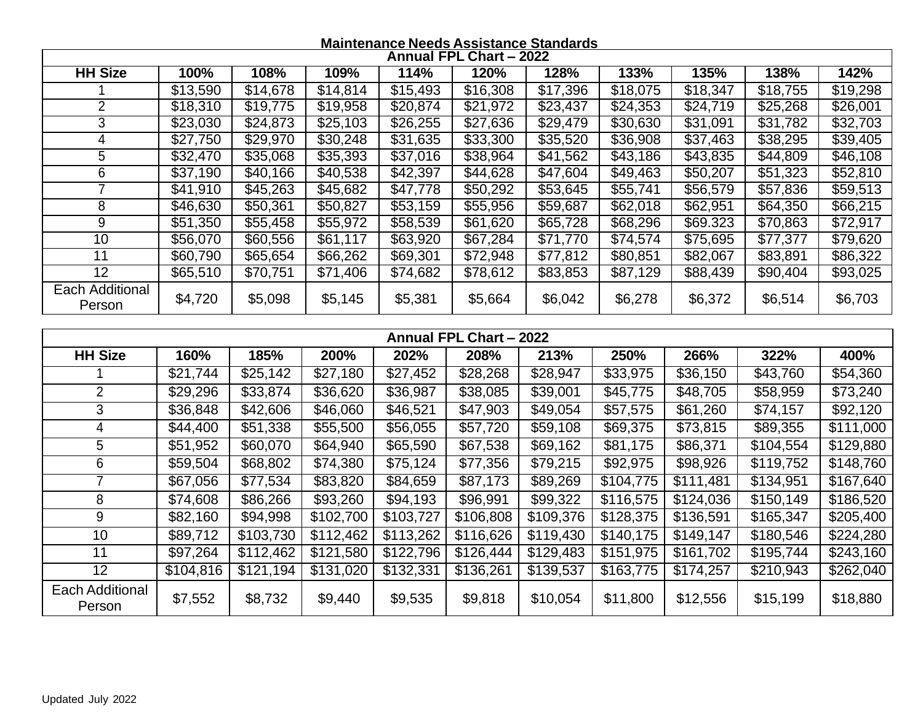## **Maintenance Needs Assistance Standards**

|                                  | Annual FPL Chart - 2022 |           |                      |                      |                         |                      |           |                      |                        |                  |
|----------------------------------|-------------------------|-----------|----------------------|----------------------|-------------------------|----------------------|-----------|----------------------|------------------------|------------------|
| <b>HH Size</b>                   | 100%                    | 108%      | 109%                 | 114%                 | 120%                    | 128%                 | 133%      | 135%                 | 138%                   | 142%             |
|                                  | \$13,590                | \$14,678  | \$14,814             | \$15,493             | \$16,308                | \$17,396             | \$18,075  | \$18,347             | \$18,755               | \$19,298         |
| $\overline{2}$                   | \$18,310                | \$19,775  | \$19,958             | \$20,874             | \$21,972                | \$23,437             | \$24,353  | \$24,719             | \$25,268               | \$26,001         |
| 3                                | $\sqrt{$23,030}$        | \$24,873  | \$25,103             | \$26,255             | $\sqrt{$27,636}$        | \$29,479             | \$30,630  | \$31,091             | \$31,782               | \$32,703         |
| 4                                | \$27,750                | \$29,970  | \$30,248             | \$31,635             | \$33,300                | \$35,520             | \$36,908  | $\sqrt{$37,463}$     | \$38,295               | \$39,405         |
| 5                                | \$32,470                | \$35,068  | \$35,393             | \$37,016             | \$38,964                | \$41,562             | \$43,186  | \$43,835             | \$44,809               | \$46,108         |
| 6                                | \$37,190                | \$40,166  | \$40,538             | \$42,397             | \$44,628                | \$47,604             | \$49,463  | \$50,207             | \$51,323               | \$52,810         |
| $\overline{7}$                   | \$41,910                | \$45,263  | \$45,682             | \$47,778             | \$50,292                | \$53,645             | \$55,741  | \$56,579             | \$57,836               | \$59,513         |
| 8                                | \$46,630                | \$50,361  | \$50,827             | \$53,159             | \$55,956                | \$59,687             | \$62,018  | \$62,951             | \$64,350               | \$66,215         |
| $\overline{9}$                   | \$51,350                | \$55,458  | \$55,972             | \$58,539             | \$61,620                | \$65,728             | \$68,296  | \$69.323             | \$70,863               | \$72,917         |
| 10                               | \$56,070                | \$60,556  | \$61,117             | \$63,920             | \$67,284                | \$71,770             | \$74,574  | \$75,695             | \$77,377               | \$79,620         |
| 11                               | \$60,790                | \$65,654  | \$66,262             | \$69,301             | \$72,948                | \$77,812             | \$80,851  | \$82,067             | \$83,891               | \$86,322         |
| $\overline{12}$                  | \$65,510                | \$70,751  | \$71,406             | \$74,682             | \$78,612                | \$83,853             | \$87,129  | $\overline{$88,439}$ | $\sqrt{$90,404}$       | $\sqrt{3}93,025$ |
| <b>Each Additional</b><br>Person | \$4,720                 | \$5,098   | \$5,145              | \$5,381              | \$5,664                 | \$6,042              | \$6,278   | \$6,372              | \$6,514                | \$6,703          |
|                                  |                         |           |                      |                      |                         |                      |           |                      |                        |                  |
|                                  |                         |           |                      |                      | Annual FPL Chart - 2022 |                      |           |                      |                        |                  |
| <b>HH Size</b>                   | 160%                    | 185%      | 200%                 | 202%                 | 208%                    | 213%                 | 250%      | 266%                 | 322%                   | 400%             |
|                                  | \$21,744                | \$25,142  | \$27,180             | \$27,452             | \$28,268                | \$28,947             | \$33,975  | \$36,150             | \$43,760               | \$54,360         |
| $\overline{2}$                   | \$29,296                | \$33,874  | \$36,620             | \$36,987             | \$38,085                | \$39,001             | \$45,775  | \$48,705             | \$58,959               | \$73,240         |
| $\overline{3}$                   | \$36,848                | \$42,606  | \$46,060             | \$46,521             | \$47,903                | \$49,054             | \$57,575  | \$61,260             | $\sqrt{$74,157}$       | \$92,120         |
| $\overline{4}$                   | \$44,400                | \$51,338  | $\overline{$}55,500$ | \$56,055             | \$57,720                | \$59,108             | \$69,375  | \$73,815             | \$89,355               | \$111,000        |
| $\overline{5}$                   | \$51,952                | \$60,070  | \$64,940             | \$65,590             | \$67,538                | \$69,162             | \$81,175  | \$86,371             | \$104,554              | \$129,880        |
| 6                                | \$59,504                | \$68,802  | \$74,380             | \$75,124             | \$77,356                | \$79,215             | \$92,975  | \$98,926             | \$119,752              | \$148,760        |
| $\overline{7}$                   | $\overline{$}67,056$    | \$77,534  | \$83,820             | $\overline{$84,659}$ | $\overline{$87,173}$    | $\frac{1}{1889,269}$ | \$104,775 | \$111,481            | \$134,951              | \$167,640        |
| 8                                | \$74,608                | \$86,266  | $\overline{$}93,260$ | \$94,193             | \$96,991                | \$99,322             | \$116,575 | \$124,036            | \$150,149              | \$186,520        |
| $\boldsymbol{9}$                 | \$82,160                | \$94,998  | \$102,700            | \$103,727            | \$106,808               | \$109,376            | \$128,375 | \$136,591            | \$165,347              | \$205,400        |
| 10                               | \$89,712                | \$103,730 | \$112,462            | \$113,262            | \$116,626               | \$119,430            | \$140,175 | \$149,147            | \$180,546              | \$224,280        |
| 11                               | \$97,264                | \$112,462 | \$121,580            | \$122,796            | \$126,444               | \$129,483            | \$151,975 | \$161,702            | $\overline{\$}195,744$ | \$243,160        |
| $\overline{12}$                  | \$104,816               | \$121,194 | \$131,020            | \$132,331            | \$136,261               | \$139,537            | \$163,775 | \$174,257            | \$210,943              | \$262,040        |
| <b>Each Additional</b><br>Person | \$7,552                 | \$8,732   | \$9,440              | \$9,535              | \$9,818                 | \$10,054             | \$11,800  | \$12,556             | \$15,199               | \$18,880         |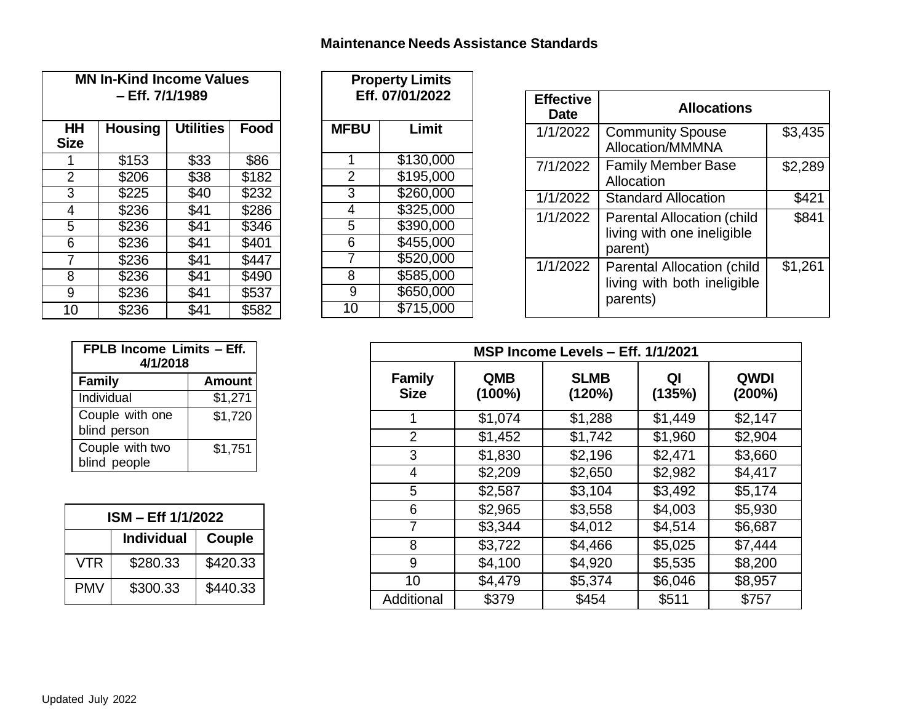## **Maintenance Needs Assistance Standards**

| <b>MN In-Kind Income Values</b><br>– Eff. 7/1/1989 |                   |                  |       |  |  |
|----------------------------------------------------|-------------------|------------------|-------|--|--|
| ΗH<br><b>Size</b>                                  | <b>Housing</b>    | <b>Utilities</b> | Food  |  |  |
| 1                                                  | \$153             | \$33             | \$86  |  |  |
| $\overline{2}$                                     | \$206             | \$38             | \$182 |  |  |
| 3                                                  | \$225             | \$40             | \$232 |  |  |
| 4                                                  | $\overline{$}236$ | \$41             | \$286 |  |  |
| 5                                                  | \$236             | \$41             | \$346 |  |  |
| 6                                                  | $\overline{$}236$ | \$41             | \$401 |  |  |
| $\overline{7}$                                     | \$236             | \$41             | \$447 |  |  |
| 8                                                  | \$236             | \$41             | \$490 |  |  |
| 9                                                  | \$236             | \$41             | \$537 |  |  |
| 10                                                 | $\overline{$}236$ | \$41             | \$582 |  |  |

| <b>Property Limits</b><br>Eff. 07/01/2022 |           |  |  |  |
|-------------------------------------------|-----------|--|--|--|
| <b>MFBU</b>                               | Limit     |  |  |  |
| 1                                         | \$130,000 |  |  |  |
| $\overline{2}$                            | \$195,000 |  |  |  |
| 3                                         | \$260,000 |  |  |  |
| 4                                         | \$325,000 |  |  |  |
| $\overline{5}$                            | \$390,000 |  |  |  |
| 6                                         | \$455,000 |  |  |  |
| 7                                         | \$520,000 |  |  |  |
| 8                                         | \$585,000 |  |  |  |
| 9                                         | \$650,000 |  |  |  |
| 10                                        | \$715,000 |  |  |  |

| <b>Effective</b><br><b>Date</b> | <b>Allocations</b>                                                           |         |
|---------------------------------|------------------------------------------------------------------------------|---------|
| 1/1/2022                        | <b>Community Spouse</b><br>Allocation/MMMNA                                  | \$3,435 |
| 7/1/2022                        | <b>Family Member Base</b><br>Allocation                                      | \$2,289 |
| 1/1/2022                        | <b>Standard Allocation</b>                                                   | \$421   |
| 1/1/2022                        | <b>Parental Allocation (child</b><br>living with one ineligible<br>parent)   | \$841   |
| 1/1/2022                        | <b>Parental Allocation (child</b><br>living with both ineligible<br>parents) | \$1,261 |

| FPLB Income Limits - Eff.<br>4/1/2018 |               |  |  |  |  |
|---------------------------------------|---------------|--|--|--|--|
| <b>Family</b>                         | <b>Amount</b> |  |  |  |  |
| Individual                            | \$1,271       |  |  |  |  |
| Couple with one<br>blind person       | \$1,720       |  |  |  |  |
| Couple with two<br>blind people       | \$1,751       |  |  |  |  |

| ISM – Eff 1/1/2022 |                   |          |  |  |  |
|--------------------|-------------------|----------|--|--|--|
|                    | <b>Individual</b> | Couple   |  |  |  |
| <b>VTR</b>         | \$280.33          | \$420.33 |  |  |  |
| <b>PMV</b>         | \$300.33          | \$440.33 |  |  |  |

|                              | MSP Income Levels - Eff. 1/1/2021 |                       |              |                       |  |  |  |
|------------------------------|-----------------------------------|-----------------------|--------------|-----------------------|--|--|--|
| <b>Family</b><br><b>Size</b> | <b>QMB</b><br>$(100\%)$           | <b>SLMB</b><br>(120%) | QI<br>(135%) | <b>QWDI</b><br>(200%) |  |  |  |
| 1                            | \$1,074                           | \$1,288               | \$1,449      | \$2,147               |  |  |  |
| $\overline{2}$               | \$1,452                           | \$1,742               | \$1,960      | \$2,904               |  |  |  |
| 3                            | \$1,830                           | \$2,196               | \$2,471      | \$3,660               |  |  |  |
| 4                            | \$2,209                           | \$2,650               | \$2,982      | \$4,417               |  |  |  |
| 5                            | \$2,587                           | \$3,104               | \$3,492      | \$5,174               |  |  |  |
| 6                            | \$2,965                           | \$3,558               | \$4,003      | \$5,930               |  |  |  |
| 7                            | \$3,344                           | \$4,012               | \$4,514      | \$6,687               |  |  |  |
| 8                            | \$3,722                           | \$4,466               | \$5,025      | \$7,444               |  |  |  |
| 9                            | \$4,100                           | \$4,920               | \$5,535      | \$8,200               |  |  |  |
| 10                           | \$4,479                           | \$5,374               | \$6,046      | \$8,957               |  |  |  |
| Additional                   | \$379                             | \$454                 | \$511        | \$757                 |  |  |  |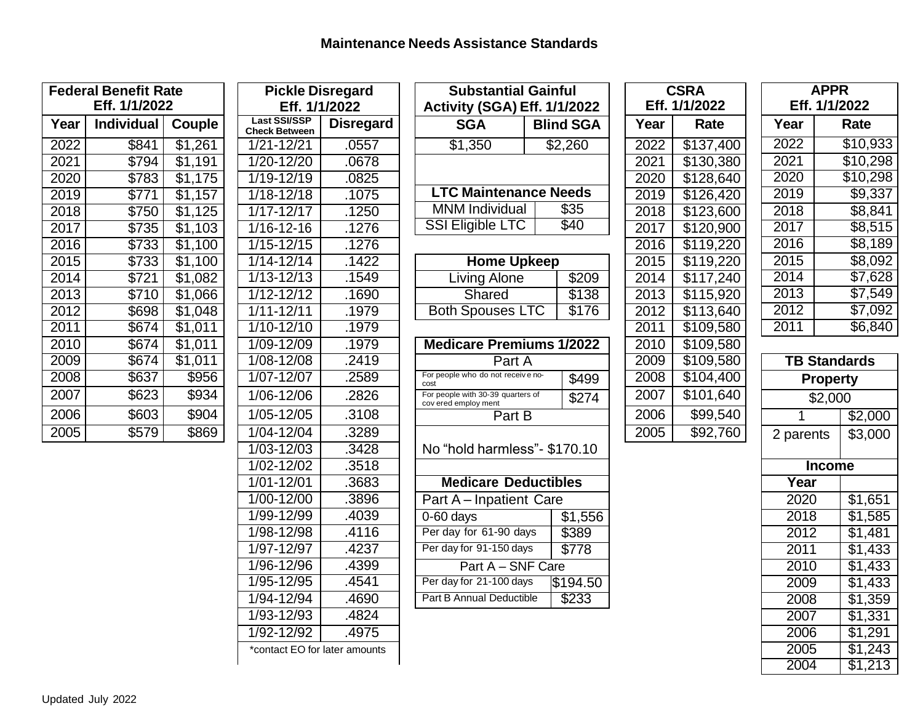| <b>Federal Benefit Rate</b><br>Eff. 1/1/2022 |            |                     |  |  |  |
|----------------------------------------------|------------|---------------------|--|--|--|
| Year                                         | Individual | Couple              |  |  |  |
| 2022                                         | \$841      | \$1,261             |  |  |  |
| 2021                                         | \$794      | \$1,191             |  |  |  |
| 2020                                         | \$783      | \$1,175             |  |  |  |
| 2019                                         | \$771      | $\overline{$1,157}$ |  |  |  |
| 2018                                         | \$750      | \$1,125             |  |  |  |
| 2017                                         | \$735      | \$1,103             |  |  |  |
| 2016                                         | \$733      | \$1,100             |  |  |  |
| 2015                                         | \$733      | \$1,100             |  |  |  |
| 2014                                         | \$721      | \$1,082             |  |  |  |
| 2013                                         | \$710      | \$1,066             |  |  |  |
| 2012                                         | \$698      | \$1,048             |  |  |  |
| $\overline{20}11$                            | \$674      | \$1,011             |  |  |  |
| 2010                                         | \$674      | \$1,011             |  |  |  |
| 2009                                         | \$674      | \$1,011             |  |  |  |
| 2008                                         | \$637      | \$956               |  |  |  |
| 2007                                         | \$623      | \$934               |  |  |  |
| 2006                                         | \$603      | \$904               |  |  |  |
| 2005                                         | \$579      | \$869               |  |  |  |

| <b>Pickle Disregard</b><br>Eff. 1/1/2022 |                  |  |  |  |  |
|------------------------------------------|------------------|--|--|--|--|
| <b>Last SSI/SSP</b>                      | <b>Disregard</b> |  |  |  |  |
| <b>Check Between</b><br>$1/21 - 12/21$   | .0557            |  |  |  |  |
| 1/20-12/20                               | .0678            |  |  |  |  |
| $1/19 - 12/19$                           |                  |  |  |  |  |
| $1/18 - 12/18$                           | .0825<br>.1075   |  |  |  |  |
| $1/17 - 12/17$                           | .1250            |  |  |  |  |
|                                          |                  |  |  |  |  |
| $\overline{1/1}$ 6-12-16                 | .1276            |  |  |  |  |
| 1/15-12/15                               | .1276            |  |  |  |  |
| 1/14-12/14                               | .1422            |  |  |  |  |
| 1/13-12/13                               | .1549            |  |  |  |  |
| $1/12 - 12/12$                           | .1690            |  |  |  |  |
| $1/11 - 12/11$                           | .1979            |  |  |  |  |
| $1/10 - 12/10$                           | 1979             |  |  |  |  |
| 1/09-12/09                               | .1979            |  |  |  |  |
| 1/08-12/08                               | .2419            |  |  |  |  |
| $1/07 - 12/07$                           | .2589            |  |  |  |  |
| 1/06-12/06                               | .2826            |  |  |  |  |
| 1/05-12/05                               | .3108            |  |  |  |  |
| $1/04 - 12/04$                           | .3289            |  |  |  |  |
| 1/03-12/03                               | .3428            |  |  |  |  |
| 1/02-12/02                               | .3518            |  |  |  |  |
| 1/01-12/01                               | .3683            |  |  |  |  |
| 1/00-12/00                               | .3896            |  |  |  |  |
| 1/99-12/99                               | .4039            |  |  |  |  |
| 1/98-12/98                               | .4116            |  |  |  |  |
| $1/97 - 12/97$                           | .4237            |  |  |  |  |
| 1/96-12/96                               | .4399            |  |  |  |  |
| $1/95 - 12/95$                           | .4541            |  |  |  |  |
| $1/94 - 12/94$                           | .4690            |  |  |  |  |
| 1/93-12/93                               | .4824            |  |  |  |  |
| $1/92 - 12/\overline{92}$                | .4975            |  |  |  |  |
| *contact EO for later amounts            |                  |  |  |  |  |

| <b>Substantial Gainful</b><br><b>Activity (SGA) Eff. 1/1/2022</b>                                 |                        |                  |  |  |  |  |  |
|---------------------------------------------------------------------------------------------------|------------------------|------------------|--|--|--|--|--|
| <b>SGA</b>                                                                                        | <b>Blind SGA</b>       |                  |  |  |  |  |  |
| \$1,350                                                                                           |                        | \$2,260          |  |  |  |  |  |
|                                                                                                   |                        |                  |  |  |  |  |  |
| <b>LTC Maintenance Needs</b>                                                                      |                        |                  |  |  |  |  |  |
| <b>MNM Individual</b>                                                                             |                        | $\overline{$}35$ |  |  |  |  |  |
| <b>SSI Eligible LTC</b>                                                                           |                        | \$40             |  |  |  |  |  |
| <b>Home Upkeep</b>                                                                                |                        |                  |  |  |  |  |  |
| <b>Living Alone</b>                                                                               |                        |                  |  |  |  |  |  |
| Shared                                                                                            |                        | \$138            |  |  |  |  |  |
| <b>Both Spouses LTC</b>                                                                           |                        | \$176            |  |  |  |  |  |
| Part A<br>For people who do not receive no-<br>\$499<br>cost<br>For people with 30-39 quarters of |                        |                  |  |  |  |  |  |
| cov ered employ ment<br>Part B                                                                    |                        | \$274            |  |  |  |  |  |
| No "hold harmless"- \$170.10                                                                      |                        |                  |  |  |  |  |  |
| <b>Medicare Deductibles</b>                                                                       |                        |                  |  |  |  |  |  |
| Part A - Inpatient Care                                                                           |                        |                  |  |  |  |  |  |
| $0-60$ days                                                                                       |                        | \$1,556<br>\$389 |  |  |  |  |  |
|                                                                                                   | Per day for 61-90 days |                  |  |  |  |  |  |
| Per day for 91-150 days                                                                           |                        | \$778            |  |  |  |  |  |
| Part A - SNF Care                                                                                 |                        |                  |  |  |  |  |  |
| Per day for 21-100 days                                                                           |                        | \$194.50         |  |  |  |  |  |
| Part B Annual Deductible                                                                          |                        | \$233            |  |  |  |  |  |

|                         | <b>CSRA</b>   |                       |  |  |  |  |
|-------------------------|---------------|-----------------------|--|--|--|--|
|                         | Eff. 1/1/2022 |                       |  |  |  |  |
| $\frac{2}{\mathsf{A}}$  | Year          | Rate                  |  |  |  |  |
|                         | 2022          | \$137,400             |  |  |  |  |
|                         | 2021          | \$130,380             |  |  |  |  |
|                         | 2020          | \$128,640             |  |  |  |  |
|                         | 2019          | \$126,420             |  |  |  |  |
|                         | 2018          | \$123,600             |  |  |  |  |
|                         | 2017          | \$120,900             |  |  |  |  |
|                         | 2016          | \$119,220             |  |  |  |  |
|                         | 2015          | \$119,220             |  |  |  |  |
| $\frac{9}{6}$           | 2014          | \$117,240             |  |  |  |  |
|                         | 2013          | \$115,920             |  |  |  |  |
|                         | 2012          | \$113,640             |  |  |  |  |
|                         | 2011          | $\overline{$}109,580$ |  |  |  |  |
| $\overline{2}$          | 2010          | \$109,580             |  |  |  |  |
|                         | 2009          | \$109,580             |  |  |  |  |
| $\frac{9}{4}$           | 2008          | \$104,400             |  |  |  |  |
|                         | 2007          | \$101,640             |  |  |  |  |
|                         | 2006          | \$99,540              |  |  |  |  |
|                         | 2005          | \$92,760              |  |  |  |  |
| $\overline{\mathbf{r}}$ |               |                       |  |  |  |  |
|                         |               |                       |  |  |  |  |
|                         |               |                       |  |  |  |  |
|                         |               |                       |  |  |  |  |
| $\overline{56}$         |               |                       |  |  |  |  |
|                         |               |                       |  |  |  |  |
|                         |               |                       |  |  |  |  |
|                         |               |                       |  |  |  |  |
| 0                       |               |                       |  |  |  |  |

**F** 

| <b>APPR</b>         |         |                      |  |  |  |  |
|---------------------|---------|----------------------|--|--|--|--|
| Eff. 1/1/2022       |         |                      |  |  |  |  |
| Year                |         | Rate                 |  |  |  |  |
| 2022                |         | \$10,933             |  |  |  |  |
| 2021                |         | \$10,298             |  |  |  |  |
| 2020                |         | \$10,298             |  |  |  |  |
| 2019                |         | \$9,337              |  |  |  |  |
| 2018                |         | \$8,841              |  |  |  |  |
| 2017                |         | $\overline{\$8,515}$ |  |  |  |  |
| 2016                |         | $\overline{\$8,189}$ |  |  |  |  |
| 2015                |         | \$8,092              |  |  |  |  |
| 2014                |         | \$7,628              |  |  |  |  |
| 2013                |         | \$7,549              |  |  |  |  |
| 2012                |         | \$7,092              |  |  |  |  |
| 2011                |         | \$6,840              |  |  |  |  |
|                     |         |                      |  |  |  |  |
| <b>TB Standards</b> |         |                      |  |  |  |  |
| Property            |         |                      |  |  |  |  |
| \$2,000             |         |                      |  |  |  |  |
|                     | \$2,000 |                      |  |  |  |  |
| 2 noronte           | ድ2 ሰበሰ  |                      |  |  |  |  |

|               | J∠,∪∪∪              |
|---------------|---------------------|
| 2 parents     | \$3,000             |
|               |                     |
| <b>Income</b> |                     |
| Year          |                     |
| 2020          | \$1,651             |
| 2018          | \$1,585             |
| 2012          | \$1,481             |
| 2011          | \$1,433             |
| 2010          | \$1,433             |
| 2009          | \$1,433             |
| 2008          | \$1,359             |
| 2007          | $\overline{1,}331$  |
| 2006          | \$1,291             |
| 2005          | $\overline{$}1,243$ |
| 2004          | \$1,213             |
|               |                     |